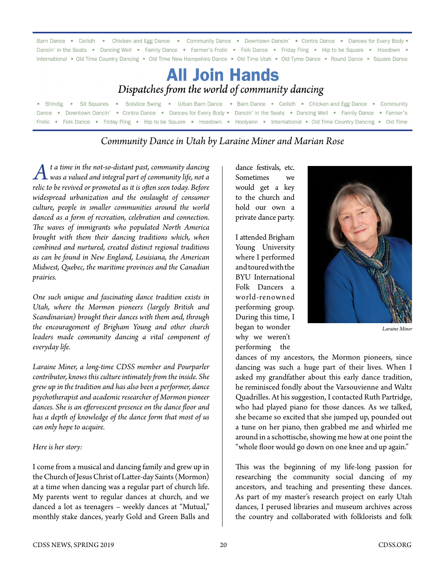| Barn Dance • Ceilidh • Chicken and Egg Dance • Community Dance • Downtown Dancin' • Contra Dance • Dances for Every Body •            |
|---------------------------------------------------------------------------------------------------------------------------------------|
| Dancin' in the Seats • Dancing Well • Family Dance • Farmer's Frolic • Folk Dance • Friday Fling • Hip to be Square • Hoedown •       |
| International • Old Time Country Dancing • Old Time New Hampshire Dance • Old Time Utah • Old Tyme Dance • Round Dance • Square Dance |
| <b>All Join Hands</b><br>Dispatches from the world of community dancing                                                               |
| • Shindig • Sit Squares • Solstice Swing • Urban Barn Dance • Barn Dance • Ceilidh • Chicken and Egg Dance • Community                |
| Dance • Downtown Dancin' • Contra Dance • Dances for Every Body • Dancin' in the Seats • Dancing Well • Family Dance • Farmer's       |
| Frolic • Folk Dance • Friday Fling • Hip to be Square • Hoedown • Hoolyann • International • Old Time Country Dancing • Old Time      |

## *Community Dance in Utah by Laraine Miner and Marian Rose*

*At a time in the not-so-distant past, community dancing was a valued and integral part of community life, not a relic to be revived or promoted as it is often seen today. Before widespread urbanization and the onslaught of consumer culture, people in smaller communities around the world danced as a form of recreation, celebration and connection. The waves of immigrants who populated North America brought with them their dancing traditions which, when combined and nurtured, created distinct regional traditions as can be found in New England, Louisiana, the American Midwest, Quebec, the maritime provinces and the Canadian prairies.*

*One such unique and fascinating dance tradition exists in Utah, where the Mormon pioneers (largely British and Scandinavian) brought their dances with them and, through the encouragement of Brigham Young and other church leaders made community dancing a vital component of everyday life.*

*Laraine Miner, a long-time CDSS member and Pourparler contributor, knows this culture intimately from the inside. She grew up in the tradition and has also been a performer, dance psychotherapist and academic researcher of Mormon pioneer dances. She is an effervescent presence on the dance floor and has a depth of knowledge of the dance form that most of us can only hope to acquire.*

#### *Here is her story:*

I come from a musical and dancing family and grew up in the Church of Jesus Christ of Latter-day Saints (Mormon) at a time when dancing was a regular part of church life. My parents went to regular dances at church, and we danced a lot as teenagers – weekly dances at "Mutual," monthly stake dances, yearly Gold and Green Balls and

dance festivals, etc. Sometimes we would get a key to the church and hold our own a private dance party.

I attended Brigham Young University where I performed and toured with the BYU International Folk Dancers a world-renowned performing group. During this time, I began to wonder why we weren't performing the



*Laraine Miner*

dances of my ancestors, the Mormon pioneers, since dancing was such a huge part of their lives. When I asked my grandfather about this early dance tradition, he reminisced fondly about the Varsouvienne and Waltz Quadrilles. At his suggestion, I contacted Ruth Partridge, who had played piano for those dances. As we talked, she became so excited that she jumped up, pounded out a tune on her piano, then grabbed me and whirled me around in a schottische, showing me how at one point the "whole floor would go down on one knee and up again."

This was the beginning of my life-long passion for researching the community social dancing of my ancestors, and teaching and presenting these dances. As part of my master's research project on early Utah dances, I perused libraries and museum archives across the country and collaborated with folklorists and folk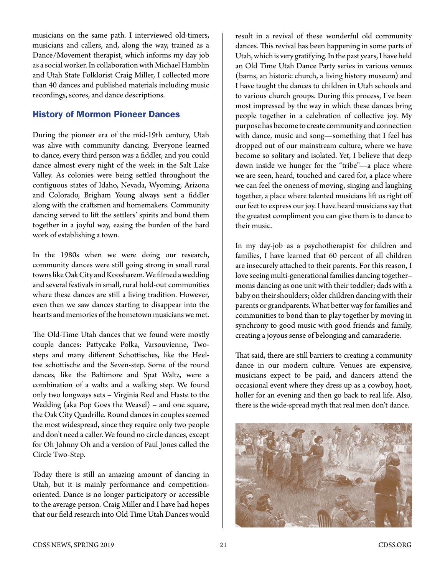musicians on the same path. I interviewed old-timers, musicians and callers, and, along the way, trained as a Dance/Movement therapist, which informs my day job as a social worker. In collaboration with Michael Hamblin and Utah State Folklorist Craig Miller, I collected more than 40 dances and published materials including music recordings, scores, and dance descriptions.

## History of Mormon Pioneer Dances

During the pioneer era of the mid-19th century, Utah was alive with community dancing. Everyone learned to dance, every third person was a fiddler, and you could dance almost every night of the week in the Salt Lake Valley. As colonies were being settled throughout the contiguous states of Idaho, Nevada, Wyoming, Arizona and Colorado, Brigham Young always sent a fiddler along with the craftsmen and homemakers. Community dancing served to lift the settlers' spirits and bond them together in a joyful way, easing the burden of the hard work of establishing a town.

In the 1980s when we were doing our research, community dances were still going strong in small rural towns like Oak City and Koosharem. We filmed a wedding and several festivals in small, rural hold-out communities where these dances are still a living tradition. However, even then we saw dances starting to disappear into the hearts and memories of the hometown musicians we met.

The Old-Time Utah dances that we found were mostly couple dances: Pattycake Polka, Varsouvienne, Twosteps and many different Schottisches, like the Heeltoe schottische and the Seven-step. Some of the round dances, like the Baltimore and Spat Waltz, were a combination of a waltz and a walking step. We found only two longways sets – Virginia Reel and Haste to the Wedding (aka Pop Goes the Weasel) – and one square, the Oak City Quadrille. Round dances in couples seemed the most widespread, since they require only two people and don't need a caller. We found no circle dances, except for Oh Johnny Oh and a version of Paul Jones called the Circle Two-Step.

Today there is still an amazing amount of dancing in Utah, but it is mainly performance and competitionoriented. Dance is no longer participatory or accessible to the average person. Craig Miller and I have had hopes that our field research into Old Time Utah Dances would

result in a revival of these wonderful old community dances. This revival has been happening in some parts of Utah, which is very gratifying. In the past years, I have held an Old Time Utah Dance Party series in various venues (barns, an historic church, a living history museum) and I have taught the dances to children in Utah schools and to various church groups. During this process, I've been most impressed by the way in which these dances bring people together in a celebration of collective joy. My purpose has become to create community and connection with dance, music and song—something that I feel has dropped out of our mainstream culture, where we have become so solitary and isolated. Yet, I believe that deep down inside we hunger for the "tribe"—a place where we are seen, heard, touched and cared for, a place where we can feel the oneness of moving, singing and laughing together, a place where talented musicians lift us right off our feet to express our joy. I have heard musicians say that the greatest compliment you can give them is to dance to their music.

In my day-job as a psychotherapist for children and families, I have learned that 60 percent of all children are insecurely attached to their parents. For this reason, I love seeing multi-generational families dancing together– moms dancing as one unit with their toddler; dads with a baby on their shoulders; older children dancing with their parents or grandparents. What better way for families and communities to bond than to play together by moving in synchrony to good music with good friends and family, creating a joyous sense of belonging and camaraderie.

That said, there are still barriers to creating a community dance in our modern culture. Venues are expensive, musicians expect to be paid, and dancers attend the occasional event where they dress up as a cowboy, hoot, holler for an evening and then go back to real life. Also, there is the wide-spread myth that real men don't dance.